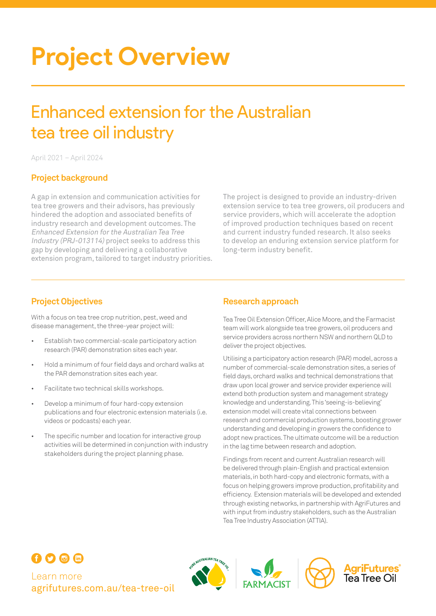# **Project Overview**

## Enhanced extension for the Australian tea tree oil industry

April 2021 – April 2024

#### **Project background**

A gap in extension and communication activities for tea tree growers and their advisors, has previously hindered the adoption and associated benefits of industry research and development outcomes. The Enhanced Extension for the Australian Tea Tree Industry (PRJ-013114) project seeks to address this gap by developing and delivering a collaborative extension program, tailored to target industry priorities. The project is designed to provide an industry-driven extension service to tea tree growers, oil producers and service providers, which will accelerate the adoption of improved production techniques based on recent and current industry funded research. It also seeks to develop an enduring extension service platform for long-term industry benefit.

With a focus on tea tree crop nutrition, pest, weed and disease management, the three-year project will:

- Establish two commercial-scale participatory action research (PAR) demonstration sites each year.
- Hold a minimum of four field days and orchard walks at the PAR demonstration sites each year.
- Facilitate two technical skills workshops.
- Develop a minimum of four hard-copy extension publications and four electronic extension materials (i.e. videos or podcasts) each year.
- The specific number and location for interactive group activities will be determined in conjunction with industry stakeholders during the project planning phase.

#### **Project Objectives Research approach**

Tea Tree Oil Extension Officer, Alice Moore, and the Farmacist team will work alongside tea tree growers, oil producers and service providers across northern NSW and northern QLD to deliver the project objectives.

Utilising a participatory action research (PAR) model, across a number of commercial-scale demonstration sites, a series of field days, orchard walks and technical demonstrations that draw upon local grower and service provider experience will extend both production system and management strategy knowledge and understanding. This 'seeing-is-believing' extension model will create vital connections between research and commercial production systems, boosting grower understanding and developing in growers the confidence to adopt new practices. The ultimate outcome will be a reduction in the lag time between research and adoption.

Findings from recent and current Australian research will be delivered through plain-English and practical extension materials, in both hard-copy and electronic formats, with a focus on helping growers improve production, profitability and efficiency. Extension materials will be developed and extended through existing networks, in partnership with AgriFutures and with input from industry stakeholders, such as the Australian Tea Tree Industry Association (ATTIA).



Learn more [agrifutures.com.au/](http://agrifutures.com.au/tea-tree-oil)tea-tree-oil